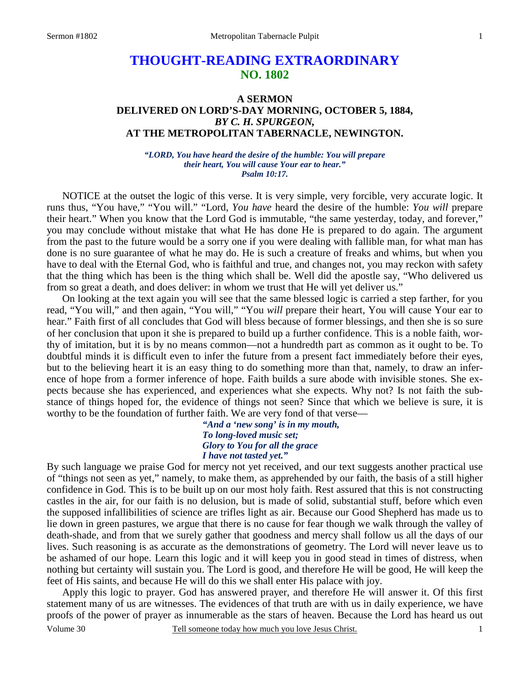# **THOUGHT-READING EXTRAORDINARY NO. 1802**

### **A SERMON DELIVERED ON LORD'S-DAY MORNING, OCTOBER 5, 1884,**  *BY C. H. SPURGEON,*  **AT THE METROPOLITAN TABERNACLE, NEWINGTON.**

#### *"LORD, You have heard the desire of the humble: You will prepare their heart, You will cause Your ear to hear." Psalm 10:17.*

NOTICE at the outset the logic of this verse. It is very simple, very forcible, very accurate logic. It runs thus, "You have," "You will." "Lord, *You have* heard the desire of the humble: *You will* prepare their heart." When you know that the Lord God is immutable, "the same yesterday, today, and forever," you may conclude without mistake that what He has done He is prepared to do again. The argument from the past to the future would be a sorry one if you were dealing with fallible man, for what man has done is no sure guarantee of what he may do. He is such a creature of freaks and whims, but when you have to deal with the Eternal God, who is faithful and true, and changes not, you may reckon with safety that the thing which has been is the thing which shall be. Well did the apostle say, "Who delivered us from so great a death, and does deliver: in whom we trust that He will yet deliver us."

 On looking at the text again you will see that the same blessed logic is carried a step farther, for you read, "You will," and then again, "You will," "You *will* prepare their heart, You will cause Your ear to hear." Faith first of all concludes that God will bless because of former blessings, and then she is so sure of her conclusion that upon it she is prepared to build up a further confidence. This is a noble faith, worthy of imitation, but it is by no means common—not a hundredth part as common as it ought to be. To doubtful minds it is difficult even to infer the future from a present fact immediately before their eyes, but to the believing heart it is an easy thing to do something more than that, namely, to draw an inference of hope from a former inference of hope. Faith builds a sure abode with invisible stones. She expects because she has experienced, and experiences what she expects. Why not? Is not faith the substance of things hoped for, the evidence of things not seen? Since that which we believe is sure, it is worthy to be the foundation of further faith. We are very fond of that verse—

> *"And a 'new song' is in my mouth, To long-loved music set; Glory to You for all the grace I have not tasted yet."*

By such language we praise God for mercy not yet received, and our text suggests another practical use of "things not seen as yet," namely, to make them, as apprehended by our faith, the basis of a still higher confidence in God. This is to be built up on our most holy faith. Rest assured that this is not constructing castles in the air, for our faith is no delusion, but is made of solid, substantial stuff, before which even the supposed infallibilities of science are trifles light as air. Because our Good Shepherd has made us to lie down in green pastures, we argue that there is no cause for fear though we walk through the valley of death-shade, and from that we surely gather that goodness and mercy shall follow us all the days of our lives. Such reasoning is as accurate as the demonstrations of geometry. The Lord will never leave us to be ashamed of our hope. Learn this logic and it will keep you in good stead in times of distress, when nothing but certainty will sustain you. The Lord is good, and therefore He will be good, He will keep the feet of His saints, and because He will do this we shall enter His palace with joy.

Volume 30 Tell someone today how much you love Jesus Christ. Apply this logic to prayer. God has answered prayer, and therefore He will answer it. Of this first statement many of us are witnesses. The evidences of that truth are with us in daily experience, we have proofs of the power of prayer as innumerable as the stars of heaven. Because the Lord has heard us out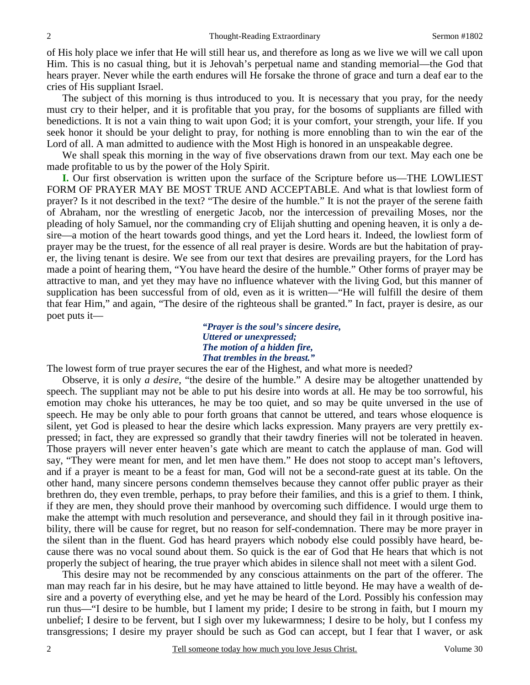of His holy place we infer that He will still hear us, and therefore as long as we live we will we call upon Him. This is no casual thing, but it is Jehovah's perpetual name and standing memorial—the God that hears prayer. Never while the earth endures will He forsake the throne of grace and turn a deaf ear to the cries of His suppliant Israel.

 The subject of this morning is thus introduced to you. It is necessary that you pray, for the needy must cry to their helper, and it is profitable that you pray, for the bosoms of suppliants are filled with benedictions. It is not a vain thing to wait upon God; it is your comfort, your strength, your life. If you seek honor it should be your delight to pray, for nothing is more ennobling than to win the ear of the Lord of all. A man admitted to audience with the Most High is honored in an unspeakable degree.

 We shall speak this morning in the way of five observations drawn from our text. May each one be made profitable to us by the power of the Holy Spirit.

**I.** Our first observation is written upon the surface of the Scripture before us—THE LOWLIEST FORM OF PRAYER MAY BE MOST TRUE AND ACCEPTABLE. And what is that lowliest form of prayer? Is it not described in the text? "The desire of the humble." It is not the prayer of the serene faith of Abraham, nor the wrestling of energetic Jacob, nor the intercession of prevailing Moses, nor the pleading of holy Samuel, nor the commanding cry of Elijah shutting and opening heaven, it is only a desire—a motion of the heart towards good things, and yet the Lord hears it. Indeed, the lowliest form of prayer may be the truest, for the essence of all real prayer is desire. Words are but the habitation of prayer, the living tenant is desire. We see from our text that desires are prevailing prayers, for the Lord has made a point of hearing them, "You have heard the desire of the humble." Other forms of prayer may be attractive to man, and yet they may have no influence whatever with the living God, but this manner of supplication has been successful from of old, even as it is written—"He will fulfill the desire of them that fear Him," and again, "The desire of the righteous shall be granted." In fact, prayer is desire, as our poet puts it—

*"Prayer is the soul's sincere desire, Uttered or unexpressed; The motion of a hidden fire, That trembles in the breast."* 

The lowest form of true prayer secures the ear of the Highest, and what more is needed?

 Observe, it is only *a desire,* "the desire of the humble." A desire may be altogether unattended by speech. The suppliant may not be able to put his desire into words at all. He may be too sorrowful, his emotion may choke his utterances, he may be too quiet, and so may be quite unversed in the use of speech. He may be only able to pour forth groans that cannot be uttered, and tears whose eloquence is silent, yet God is pleased to hear the desire which lacks expression. Many prayers are very prettily expressed; in fact, they are expressed so grandly that their tawdry fineries will not be tolerated in heaven. Those prayers will never enter heaven's gate which are meant to catch the applause of man. God will say, "They were meant for men, and let men have them." He does not stoop to accept man's leftovers, and if a prayer is meant to be a feast for man, God will not be a second-rate guest at its table. On the other hand, many sincere persons condemn themselves because they cannot offer public prayer as their brethren do, they even tremble, perhaps, to pray before their families, and this is a grief to them. I think, if they are men, they should prove their manhood by overcoming such diffidence. I would urge them to make the attempt with much resolution and perseverance, and should they fail in it through positive inability, there will be cause for regret, but no reason for self-condemnation. There may be more prayer in the silent than in the fluent. God has heard prayers which nobody else could possibly have heard, because there was no vocal sound about them. So quick is the ear of God that He hears that which is not properly the subject of hearing, the true prayer which abides in silence shall not meet with a silent God.

 This desire may not be recommended by any conscious attainments on the part of the offerer. The man may reach far in his desire, but he may have attained to little beyond. He may have a wealth of desire and a poverty of everything else, and yet he may be heard of the Lord. Possibly his confession may run thus—"I desire to be humble, but I lament my pride; I desire to be strong in faith, but I mourn my unbelief; I desire to be fervent, but I sigh over my lukewarmness; I desire to be holy, but I confess my transgressions; I desire my prayer should be such as God can accept, but I fear that I waver, or ask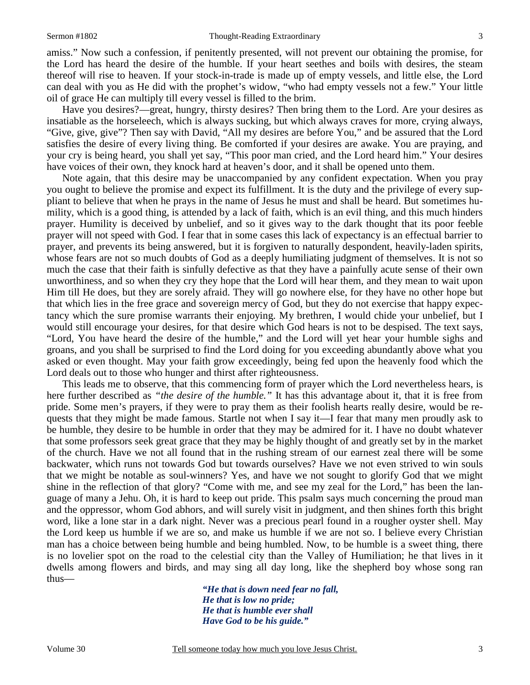amiss." Now such a confession, if penitently presented, will not prevent our obtaining the promise, for the Lord has heard the desire of the humble. If your heart seethes and boils with desires, the steam thereof will rise to heaven. If your stock-in-trade is made up of empty vessels, and little else, the Lord can deal with you as He did with the prophet's widow, "who had empty vessels not a few." Your little oil of grace He can multiply till every vessel is filled to the brim.

 Have you desires?—great, hungry, thirsty desires? Then bring them to the Lord. Are your desires as insatiable as the horseleech, which is always sucking, but which always craves for more, crying always, "Give, give, give"? Then say with David, "All my desires are before You," and be assured that the Lord satisfies the desire of every living thing. Be comforted if your desires are awake. You are praying, and your cry is being heard, you shall yet say, "This poor man cried, and the Lord heard him." Your desires have voices of their own, they knock hard at heaven's door, and it shall be opened unto them.

 Note again, that this desire may be unaccompanied by any confident expectation. When you pray you ought to believe the promise and expect its fulfillment. It is the duty and the privilege of every suppliant to believe that when he prays in the name of Jesus he must and shall be heard. But sometimes humility, which is a good thing, is attended by a lack of faith, which is an evil thing, and this much hinders prayer. Humility is deceived by unbelief, and so it gives way to the dark thought that its poor feeble prayer will not speed with God. I fear that in some cases this lack of expectancy is an effectual barrier to prayer, and prevents its being answered, but it is forgiven to naturally despondent, heavily-laden spirits, whose fears are not so much doubts of God as a deeply humiliating judgment of themselves. It is not so much the case that their faith is sinfully defective as that they have a painfully acute sense of their own unworthiness, and so when they cry they hope that the Lord will hear them, and they mean to wait upon Him till He does, but they are sorely afraid. They will go nowhere else, for they have no other hope but that which lies in the free grace and sovereign mercy of God, but they do not exercise that happy expectancy which the sure promise warrants their enjoying. My brethren, I would chide your unbelief, but I would still encourage your desires, for that desire which God hears is not to be despised. The text says, "Lord, You have heard the desire of the humble," and the Lord will yet hear your humble sighs and groans, and you shall be surprised to find the Lord doing for you exceeding abundantly above what you asked or even thought. May your faith grow exceedingly, being fed upon the heavenly food which the Lord deals out to those who hunger and thirst after righteousness.

 This leads me to observe, that this commencing form of prayer which the Lord nevertheless hears, is here further described as *"the desire of the humble."* It has this advantage about it, that it is free from pride. Some men's prayers, if they were to pray them as their foolish hearts really desire, would be requests that they might be made famous. Startle not when I say it—I fear that many men proudly ask to be humble, they desire to be humble in order that they may be admired for it. I have no doubt whatever that some professors seek great grace that they may be highly thought of and greatly set by in the market of the church. Have we not all found that in the rushing stream of our earnest zeal there will be some backwater, which runs not towards God but towards ourselves? Have we not even strived to win souls that we might be notable as soul-winners? Yes, and have we not sought to glorify God that we might shine in the reflection of that glory? "Come with me, and see my zeal for the Lord," has been the language of many a Jehu. Oh, it is hard to keep out pride. This psalm says much concerning the proud man and the oppressor, whom God abhors, and will surely visit in judgment, and then shines forth this bright word, like a lone star in a dark night. Never was a precious pearl found in a rougher oyster shell. May the Lord keep us humble if we are so, and make us humble if we are not so. I believe every Christian man has a choice between being humble and being humbled. Now, to be humble is a sweet thing, there is no lovelier spot on the road to the celestial city than the Valley of Humiliation; he that lives in it dwells among flowers and birds, and may sing all day long, like the shepherd boy whose song ran thus—

> *"He that is down need fear no fall, He that is low no pride; He that is humble ever shall Have God to be his guide."*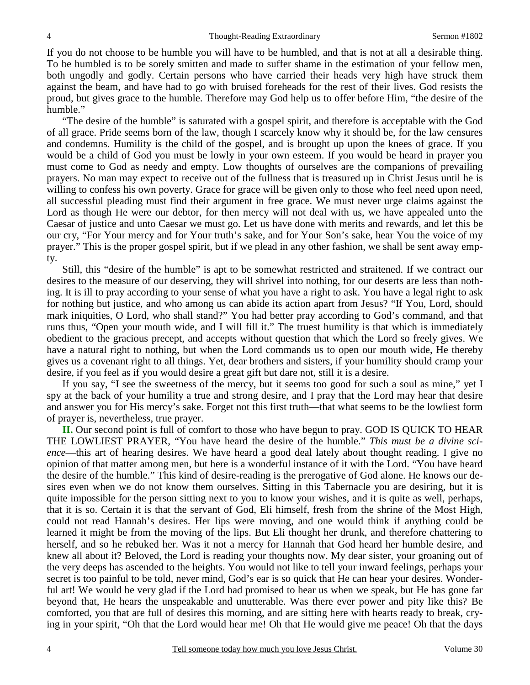If you do not choose to be humble you will have to be humbled, and that is not at all a desirable thing. To be humbled is to be sorely smitten and made to suffer shame in the estimation of your fellow men, both ungodly and godly. Certain persons who have carried their heads very high have struck them against the beam, and have had to go with bruised foreheads for the rest of their lives. God resists the proud, but gives grace to the humble. Therefore may God help us to offer before Him, "the desire of the humble."

 "The desire of the humble" is saturated with a gospel spirit, and therefore is acceptable with the God of all grace. Pride seems born of the law, though I scarcely know why it should be, for the law censures and condemns. Humility is the child of the gospel, and is brought up upon the knees of grace. If you would be a child of God you must be lowly in your own esteem. If you would be heard in prayer you must come to God as needy and empty. Low thoughts of ourselves are the companions of prevailing prayers. No man may expect to receive out of the fullness that is treasured up in Christ Jesus until he is willing to confess his own poverty. Grace for grace will be given only to those who feel need upon need, all successful pleading must find their argument in free grace. We must never urge claims against the Lord as though He were our debtor, for then mercy will not deal with us, we have appealed unto the Caesar of justice and unto Caesar we must go. Let us have done with merits and rewards, and let this be our cry, "For Your mercy and for Your truth's sake, and for Your Son's sake, hear You the voice of my prayer." This is the proper gospel spirit, but if we plead in any other fashion, we shall be sent away empty.

 Still, this "desire of the humble" is apt to be somewhat restricted and straitened. If we contract our desires to the measure of our deserving, they will shrivel into nothing, for our deserts are less than nothing. It is ill to pray according to your sense of what you have a right to ask. You have a legal right to ask for nothing but justice, and who among us can abide its action apart from Jesus? "If You, Lord, should mark iniquities, O Lord, who shall stand?" You had better pray according to God's command, and that runs thus, "Open your mouth wide, and I will fill it." The truest humility is that which is immediately obedient to the gracious precept, and accepts without question that which the Lord so freely gives. We have a natural right to nothing, but when the Lord commands us to open our mouth wide, He thereby gives us a covenant right to all things. Yet, dear brothers and sisters, if your humility should cramp your desire, if you feel as if you would desire a great gift but dare not, still it is a desire.

 If you say, "I see the sweetness of the mercy, but it seems too good for such a soul as mine," yet I spy at the back of your humility a true and strong desire, and I pray that the Lord may hear that desire and answer you for His mercy's sake. Forget not this first truth—that what seems to be the lowliest form of prayer is, nevertheless, true prayer.

**II.** Our second point is full of comfort to those who have begun to pray. GOD IS QUICK TO HEAR THE LOWLIEST PRAYER, "You have heard the desire of the humble." *This must be a divine science*—this art of hearing desires. We have heard a good deal lately about thought reading. I give no opinion of that matter among men, but here is a wonderful instance of it with the Lord. "You have heard the desire of the humble." This kind of desire-reading is the prerogative of God alone. He knows our desires even when we do not know them ourselves. Sitting in this Tabernacle you are desiring, but it is quite impossible for the person sitting next to you to know your wishes, and it is quite as well, perhaps, that it is so. Certain it is that the servant of God, Eli himself, fresh from the shrine of the Most High, could not read Hannah's desires. Her lips were moving, and one would think if anything could be learned it might be from the moving of the lips. But Eli thought her drunk, and therefore chattering to herself, and so he rebuked her. Was it not a mercy for Hannah that God heard her humble desire, and knew all about it? Beloved, the Lord is reading your thoughts now. My dear sister, your groaning out of the very deeps has ascended to the heights. You would not like to tell your inward feelings, perhaps your secret is too painful to be told, never mind, God's ear is so quick that He can hear your desires. Wonderful art! We would be very glad if the Lord had promised to hear us when we speak*,* but He has gone far beyond that, He hears the unspeakable and unutterable. Was there ever power and pity like this? Be comforted, you that are full of desires this morning, and are sitting here with hearts ready to break, crying in your spirit, "Oh that the Lord would hear me! Oh that He would give me peace! Oh that the days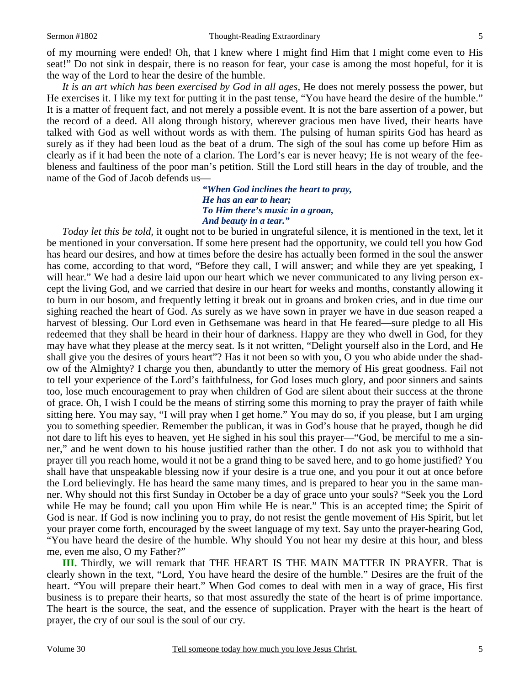of my mourning were ended! Oh, that I knew where I might find Him that I might come even to His seat!" Do not sink in despair, there is no reason for fear, your case is among the most hopeful, for it is the way of the Lord to hear the desire of the humble.

*It is an art which has been exercised by God in all ages,* He does not merely possess the power, but He exercises it. I like my text for putting it in the past tense, "You have heard the desire of the humble." It is a matter of frequent fact, and not merely a possible event. It is not the bare assertion of a power, but the record of a deed. All along through history, wherever gracious men have lived, their hearts have talked with God as well without words as with them. The pulsing of human spirits God has heard as surely as if they had been loud as the beat of a drum. The sigh of the soul has come up before Him as clearly as if it had been the note of a clarion. The Lord's ear is never heavy; He is not weary of the feebleness and faultiness of the poor man's petition. Still the Lord still hears in the day of trouble, and the name of the God of Jacob defends us—

> *"When God inclines the heart to pray, He has an ear to hear; To Him there's music in a groan, And beauty in a tear."*

*Today let this be told,* it ought not to be buried in ungrateful silence, it is mentioned in the text, let it be mentioned in your conversation. If some here present had the opportunity, we could tell you how God has heard our desires, and how at times before the desire has actually been formed in the soul the answer has come, according to that word, "Before they call, I will answer; and while they are yet speaking, I will hear." We had a desire laid upon our heart which we never communicated to any living person except the living God, and we carried that desire in our heart for weeks and months, constantly allowing it to burn in our bosom, and frequently letting it break out in groans and broken cries, and in due time our sighing reached the heart of God. As surely as we have sown in prayer we have in due season reaped a harvest of blessing. Our Lord even in Gethsemane was heard in that He feared—sure pledge to all His redeemed that they shall be heard in their hour of darkness. Happy are they who dwell in God, for they may have what they please at the mercy seat. Is it not written, "Delight yourself also in the Lord, and He shall give you the desires of yours heart"? Has it not been so with you, O you who abide under the shadow of the Almighty? I charge you then, abundantly to utter the memory of His great goodness. Fail not to tell your experience of the Lord's faithfulness, for God loses much glory, and poor sinners and saints too, lose much encouragement to pray when children of God are silent about their success at the throne of grace. Oh, I wish I could be the means of stirring some this morning to pray the prayer of faith while sitting here. You may say, "I will pray when I get home." You may do so, if you please, but I am urging you to something speedier. Remember the publican, it was in God's house that he prayed, though he did not dare to lift his eyes to heaven, yet He sighed in his soul this prayer—"God, be merciful to me a sinner," and he went down to his house justified rather than the other. I do not ask you to withhold that prayer till you reach home, would it not be a grand thing to be saved here, and to go home justified? You shall have that unspeakable blessing now if your desire is a true one, and you pour it out at once before the Lord believingly. He has heard the same many times, and is prepared to hear you in the same manner. Why should not this first Sunday in October be a day of grace unto your souls? "Seek you the Lord while He may be found; call you upon Him while He is near." This is an accepted time; the Spirit of God is near. If God is now inclining you to pray, do not resist the gentle movement of His Spirit, but let your prayer come forth, encouraged by the sweet language of my text. Say unto the prayer-hearing God, "You have heard the desire of the humble. Why should You not hear my desire at this hour, and bless me, even me also, O my Father?"

**III.** Thirdly, we will remark that THE HEART IS THE MAIN MATTER IN PRAYER. That is clearly shown in the text, "Lord, You have heard the desire of the humble." Desires are the fruit of the heart. "You will prepare their heart." When God comes to deal with men in a way of grace, His first business is to prepare their hearts, so that most assuredly the state of the heart is of prime importance. The heart is the source, the seat, and the essence of supplication. Prayer with the heart is the heart of prayer, the cry of our soul is the soul of our cry.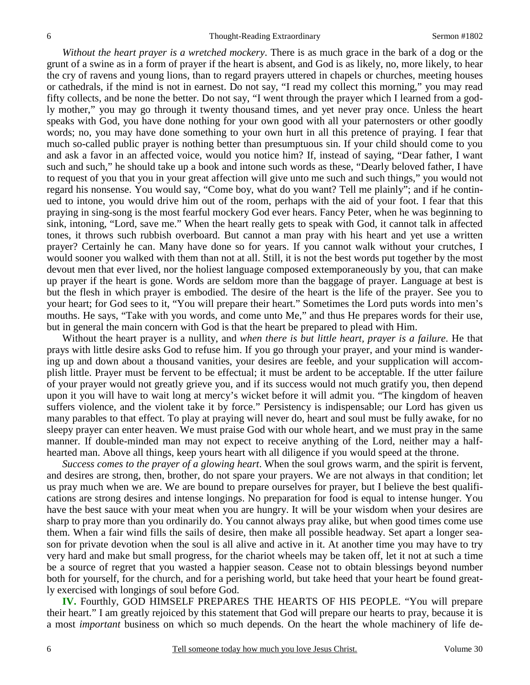*Without the heart prayer is a wretched mockery*. There is as much grace in the bark of a dog or the grunt of a swine as in a form of prayer if the heart is absent, and God is as likely, no, more likely, to hear the cry of ravens and young lions, than to regard prayers uttered in chapels or churches, meeting houses or cathedrals, if the mind is not in earnest. Do not say, "I read my collect this morning," you may read fifty collects, and be none the better. Do not say, "I went through the prayer which I learned from a godly mother," you may go through it twenty thousand times, and yet never pray once. Unless the heart speaks with God, you have done nothing for your own good with all your paternosters or other goodly words; no, you may have done something to your own hurt in all this pretence of praying. I fear that much so-called public prayer is nothing better than presumptuous sin. If your child should come to you and ask a favor in an affected voice, would you notice him? If, instead of saying, "Dear father, I want such and such," he should take up a book and intone such words as these, "Dearly beloved father, I have to request of you that you in your great affection will give unto me such and such things," you would not regard his nonsense. You would say, "Come boy, what do you want? Tell me plainly"; and if he continued to intone, you would drive him out of the room, perhaps with the aid of your foot. I fear that this praying in sing-song is the most fearful mockery God ever hears. Fancy Peter, when he was beginning to sink, intoning, "Lord, save me." When the heart really gets to speak with God, it cannot talk in affected tones, it throws such rubbish overboard. But cannot a man pray with his heart and yet use a written prayer? Certainly he can. Many have done so for years. If you cannot walk without your crutches, I would sooner you walked with them than not at all. Still, it is not the best words put together by the most devout men that ever lived, nor the holiest language composed extemporaneously by you, that can make up prayer if the heart is gone. Words are seldom more than the baggage of prayer. Language at best is but the flesh in which prayer is embodied. The desire of the heart is the life of the prayer. See you to your heart; for God sees to it, "You will prepare their heart." Sometimes the Lord puts words into men's mouths. He says, "Take with you words, and come unto Me," and thus He prepares words for their use, but in general the main concern with God is that the heart be prepared to plead with Him.

 Without the heart prayer is a nullity, and *when there is but little heart, prayer is a failure*. He that prays with little desire asks God to refuse him. If you go through your prayer, and your mind is wandering up and down about a thousand vanities, your desires are feeble, and your supplication will accomplish little. Prayer must be fervent to be effectual; it must be ardent to be acceptable. If the utter failure of your prayer would not greatly grieve you, and if its success would not much gratify you, then depend upon it you will have to wait long at mercy's wicket before it will admit you. "The kingdom of heaven suffers violence, and the violent take it by force." Persistency is indispensable; our Lord has given us many parables to that effect. To play at praying will never do, heart and soul must be fully awake, for no sleepy prayer can enter heaven. We must praise God with our whole heart, and we must pray in the same manner. If double-minded man may not expect to receive anything of the Lord, neither may a halfhearted man. Above all things, keep yours heart with all diligence if you would speed at the throne.

 *Success comes to the prayer of a glowing heart*. When the soul grows warm, and the spirit is fervent, and desires are strong, then, brother, do not spare your prayers. We are not always in that condition; let us pray much when we are. We are bound to prepare ourselves for prayer, but I believe the best qualifications are strong desires and intense longings. No preparation for food is equal to intense hunger. You have the best sauce with your meat when you are hungry. It will be your wisdom when your desires are sharp to pray more than you ordinarily do. You cannot always pray alike, but when good times come use them. When a fair wind fills the sails of desire, then make all possible headway. Set apart a longer season for private devotion when the soul is all alive and active in it. At another time you may have to try very hard and make but small progress, for the chariot wheels may be taken off, let it not at such a time be a source of regret that you wasted a happier season. Cease not to obtain blessings beyond number both for yourself, for the church, and for a perishing world, but take heed that your heart be found greatly exercised with longings of soul before God.

**IV.** Fourthly, GOD HIMSELF PREPARES THE HEARTS OF HIS PEOPLE. "You will prepare their heart." I am greatly rejoiced by this statement that God will prepare our hearts to pray, because it is a most *important* business on which so much depends. On the heart the whole machinery of life de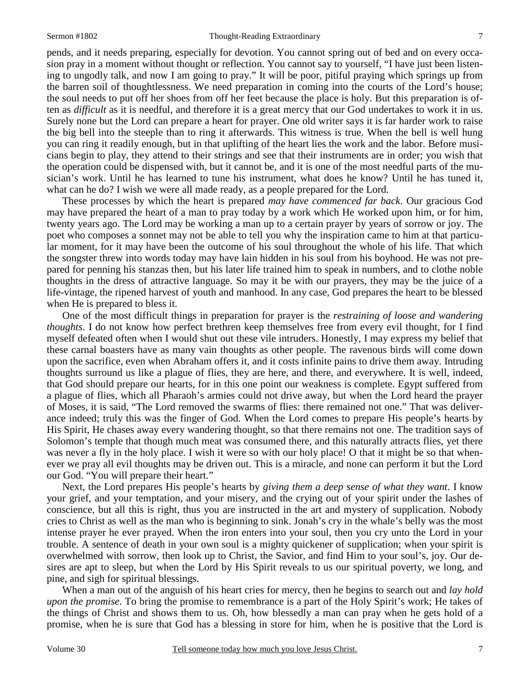pends, and it needs preparing, especially for devotion. You cannot spring out of bed and on every occasion pray in a moment without thought or reflection. You cannot say to yourself, "I have just been listening to ungodly talk, and now I am going to pray." It will be poor, pitiful praying which springs up from the barren soil of thoughtlessness. We need preparation in coming into the courts of the Lord's house; the soul needs to put off her shoes from off her feet because the place is holy. But this preparation is often as *difficult* as it is needful, and therefore it is a great mercy that our God undertakes to work it in us. Surely none but the Lord can prepare a heart for prayer. One old writer says it is far harder work to raise the big bell into the steeple than to ring it afterwards. This witness is true. When the bell is well hung you can ring it readily enough, but in that uplifting of the heart lies the work and the labor. Before musicians begin to play, they attend to their strings and see that their instruments are in order; you wish that the operation could be dispensed with, but it cannot be, and it is one of the most needful parts of the musician's work. Until he has learned to tune his instrument, what does he know? Until he has tuned it, what can he do? I wish we were all made ready, as a people prepared for the Lord.

 These processes by which the heart is prepared *may have commenced far back*. Our gracious God may have prepared the heart of a man to pray today by a work which He worked upon him, or for him, twenty years ago. The Lord may be working a man up to a certain prayer by years of sorrow or joy. The poet who composes a sonnet may not be able to tell you why the inspiration came to him at that particular moment, for it may have been the outcome of his soul throughout the whole of his life. That which the songster threw into words today may have lain hidden in his soul from his boyhood. He was not prepared for penning his stanzas then, but his later life trained him to speak in numbers, and to clothe noble thoughts in the dress of attractive language. So may it be with our prayers, they may be the juice of a life-vintage, the ripened harvest of youth and manhood. In any case, God prepares the heart to be blessed when He is prepared to bless it.

 One of the most difficult things in preparation for prayer is the *restraining of loose and wandering thoughts*. I do not know how perfect brethren keep themselves free from every evil thought, for I find myself defeated often when I would shut out these vile intruders. Honestly, I may express my belief that these carnal boasters have as many vain thoughts as other people. The ravenous birds will come down upon the sacrifice, even when Abraham offers it, and it costs infinite pains to drive them away. Intruding thoughts surround us like a plague of flies, they are here, and there, and everywhere. It is well, indeed, that God should prepare our hearts, for in this one point our weakness is complete. Egypt suffered from a plague of flies, which all Pharaoh's armies could not drive away, but when the Lord heard the prayer of Moses, it is said, "The Lord removed the swarms of flies: there remained not one." That was deliverance indeed; truly this was the finger of God. When the Lord comes to prepare His people's hearts by His Spirit, He chases away every wandering thought, so that there remains not one. The tradition says of Solomon's temple that though much meat was consumed there, and this naturally attracts flies, yet there was never a fly in the holy place. I wish it were so with our holy place! O that it might be so that whenever we pray all evil thoughts may be driven out. This is a miracle, and none can perform it but the Lord our God. "You will prepare their heart."

 Next, the Lord prepares His people's hearts by *giving them a deep sense of what they want*. I know your grief, and your temptation, and your misery, and the crying out of your spirit under the lashes of conscience, but all this is right, thus you are instructed in the art and mystery of supplication. Nobody cries to Christ as well as the man who is beginning to sink. Jonah's cry in the whale's belly was the most intense prayer he ever prayed. When the iron enters into your soul, then you cry unto the Lord in your trouble. A sentence of death in your own soul is a mighty quickener of supplication; when your spirit is overwhelmed with sorrow, then look up to Christ, the Savior, and find Him to your soul's, joy. Our desires are apt to sleep, but when the Lord by His Spirit reveals to us our spiritual poverty, we long, and pine, and sigh for spiritual blessings.

 When a man out of the anguish of his heart cries for mercy, then he begins to search out and *lay hold upon the promise*. To bring the promise to remembrance is a part of the Holy Spirit's work; He takes of the things of Christ and shows them to us. Oh, how blessedly a man can pray when he gets hold of a promise, when he is sure that God has a blessing in store for him, when he is positive that the Lord is